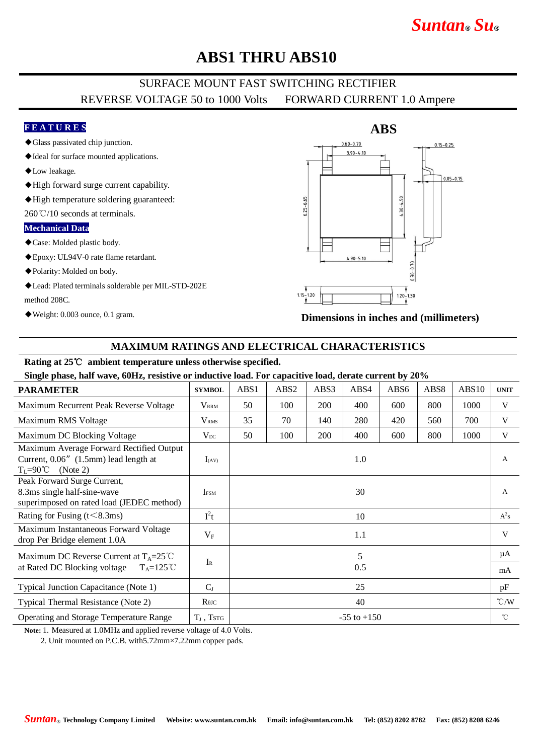# *Suntan***®** *Su***®**

## **ABS1 THRU ABS10**

## SURFACE MOUNT FAST SWITCHING RECTIFIER REVERSE VOLTAGE 50 to 1000 Volts FORWARD CURRENT 1.0 Ampere

### **F E A T U R E S**

- ◆Glass passivated chip junction.
- ◆Ideal for surface mounted applications.
- ◆Low leakage.
- ◆High forward surge current capability.
- ◆High temperature soldering guaranteed:

260℃/10 seconds at terminals.

#### **Mechanical Data**

- ◆Case: Molded plastic body.
- ◆Epoxy: UL94V-0 rate flame retardant.
- ◆Polarity: Molded on body.
- ◆Lead: Plated terminals solderable per MIL-STD-202E method 208C.
- ◆Weight: 0.003 ounce, 0.1 gram.



**Dimensions in inches and (millimeters)**

### **MAXIMUM RATINGS AND ELECTRICAL CHARACTERISTICS**

#### **Rating at 25**℃ **ambient temperature unless otherwise specified.**

**Single phase, half wave, 60Hz, resistive or inductive load. For capacitive load, derate current by 20%**

| <b>PARAMETER</b>                                                                                                            | <b>SYMBOL</b>           | ABS1            | ABS <sub>2</sub> | ABS3 | ABS4 | ABS <sub>6</sub> | ABS8 | ABS10 | <b>UNIT</b>   |
|-----------------------------------------------------------------------------------------------------------------------------|-------------------------|-----------------|------------------|------|------|------------------|------|-------|---------------|
| Maximum Recurrent Peak Reverse Voltage                                                                                      | $V_{\rm RRM}$           | 50              | 100              | 200  | 400  | 600              | 800  | 1000  | V             |
| Maximum RMS Voltage                                                                                                         | V <sub>RMS</sub>        | 35              | 70               | 140  | 280  | 420              | 560  | 700   | V             |
| Maximum DC Blocking Voltage                                                                                                 | $V_{DC}$                | 50              | 100              | 200  | 400  | 600              | 800  | 1000  | V             |
| Maximum Average Forward Rectified Output<br>Current, 0.06" (1.5mm) lead length at<br>$T_{\rm L} = 90^{\circ}$ C<br>(Note 2) | $I_{(AV)}$              |                 |                  |      | 1.0  |                  |      |       | A             |
| Peak Forward Surge Current,<br>8.3ms single half-sine-wave<br>superimposed on rated load (JEDEC method)                     | <b>I</b> <sub>FSM</sub> |                 |                  |      | 30   |                  |      |       | $\mathbf{A}$  |
| Rating for Fusing $(t<8.3ms)$                                                                                               | $I^2t$                  | 10              |                  |      |      |                  |      |       | $A^2s$        |
| Maximum Instantaneous Forward Voltage<br>drop Per Bridge element 1.0A                                                       | $V_{\rm F}$             | 1.1             |                  |      |      |                  |      |       | V             |
| Maximum DC Reverse Current at $T_A = 25^{\circ}C$                                                                           |                         | 5               |                  |      |      |                  |      |       | μA            |
| at Rated DC Blocking voltage<br>$T_A=125^{\circ}C$                                                                          | $I_{R}$                 | 0.5             |                  |      |      |                  |      |       | mA            |
| Typical Junction Capacitance (Note 1)                                                                                       | $C_I$                   | 25              |                  |      |      |                  |      |       | pF            |
| Typical Thermal Resistance (Note 2)                                                                                         | $R$ $\theta$ JC         | 40              |                  |      |      |                  |      |       | $\degree$ C/W |
| Operating and Storage Temperature Range                                                                                     | $T_J$ , TstG            | $-55$ to $+150$ |                  |      |      |                  |      |       | $^{\circ}$ C  |

**Note:** 1. Measured at 1.0MHz and applied reverse voltage of 4.0 Volts.

2. Unit mounted on P.C.B. with5.72mm×7.22mm copper pads.